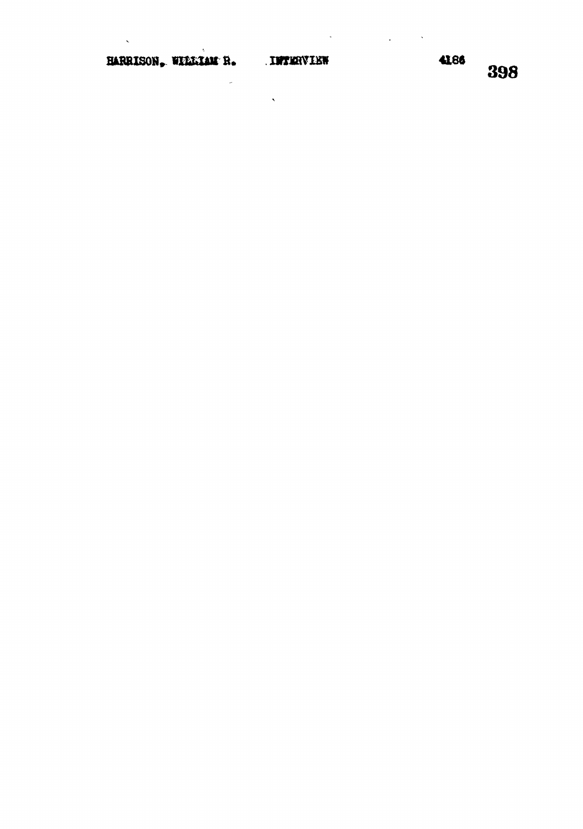$\overline{a}$ 

 $\bar{\zeta}$ 

 $\langle \cdot, \cdot \rangle$ 

 $\mathcal{L}_{\text{max}}$  ,  $\mathbf{S}_{\text{max}}$ 

 $\ddot{\phantom{a}}$ 

398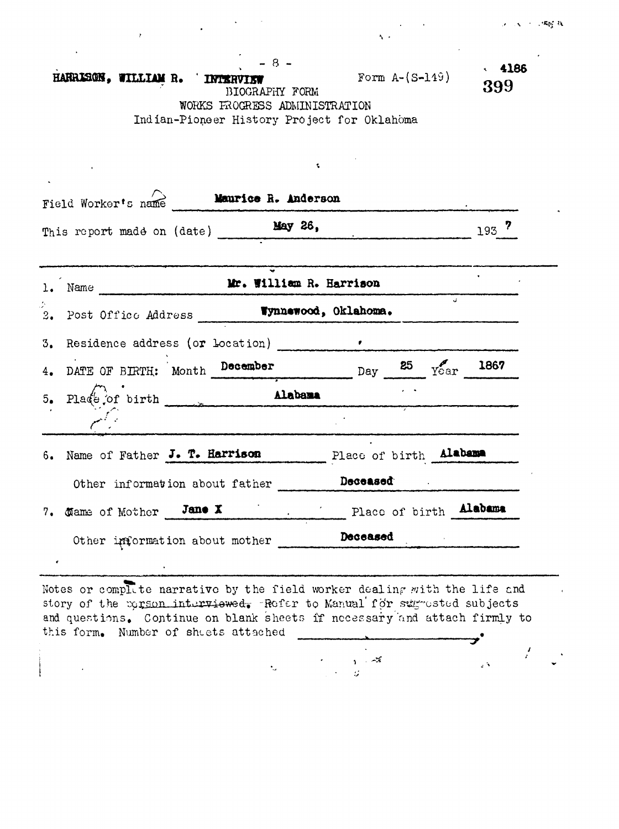$\Delta \phi = 0.01$ 

 $\sqrt{1 + \frac{1}{2}}$ 

| $-8-$<br>HARRISON, WILLIAM R.<br><b>INTERVIEW</b><br>BIOGRAPHY FORM | Form $A-(S-119)$ | 4186<br>399 |
|---------------------------------------------------------------------|------------------|-------------|
| WORKS FROGRESS ADMINISTRATION                                       |                  |             |
| Indian-Pioneer History Project for Oklahoma                         |                  |             |
|                                                                     |                  |             |
|                                                                     |                  |             |
|                                                                     |                  |             |

 $\label{eq:2.1} \frac{1}{\sqrt{2\pi}}\int_{\mathbb{R}^{3}}\frac{1}{\sqrt{2\pi}}\left(\frac{1}{\sqrt{2\pi}}\right)^{2}e^{-\frac{1}{2}\left(\frac{1}{\sqrt{2\pi}}\right)^{2}}\frac{e^{-\frac{1}{2}\left(\frac{1}{\sqrt{2\pi}}\right)}}{e^{-\frac{1}{2}\left(\frac{1}{\sqrt{2\pi}}\right)}}\frac{e^{-\frac{1}{2}\left(\frac{1}{\sqrt{2\pi}}\right)}}{e^{-\frac{1}{2}\left(\frac{1}{\sqrt{2\pi}}\right)}}\frac{e^{-\frac{1}{2}\left(\frac{1}{\$ 

 $\sim$ 

 $\bar{\mathcal{A}}$ 

| Field Worker's name <b>Maurice H. Anderson</b>                                                                                                                                                                                     |         |
|------------------------------------------------------------------------------------------------------------------------------------------------------------------------------------------------------------------------------------|---------|
| This report made on (date) May 26,                                                                                                                                                                                                 | $193$ ? |
| 1. Name Mr. William R. Harrison                                                                                                                                                                                                    |         |
| 2. Post Office Address <b>Wynnewood, Oklahoma.</b>                                                                                                                                                                                 |         |
| 3. Residence address (or Location) [100]                                                                                                                                                                                           |         |
| 4. DATE OF BIRTH: Month December Day 25 $Y_{\text{Car}}$ 1867                                                                                                                                                                      |         |
| 5. Place of birth Alabama                                                                                                                                                                                                          |         |
|                                                                                                                                                                                                                                    |         |
| 6. Name of Father J. T. Harrison Place of birth Alabama                                                                                                                                                                            |         |
| Other information about father <b>Deceased</b> and the number of the set of the set of the set of the set of the set of the set of the set of the set of the set of the set of the set of the set of the set of the set of the set |         |
| 7. Mame of Mother Jane X Place of birth Alabama                                                                                                                                                                                    |         |
| Other information about mother Deceased                                                                                                                                                                                            |         |
|                                                                                                                                                                                                                                    |         |

Notes or complete narrative by the field worker dealing with the life and story of the eggson interviewed. Refer to Manual for sug-ested subjects and questions. Continue on blank sheets if necessary and attach firmly to this form. Number of sheets attached

 $\sim$ 

 $\sqrt{3}$ 

 $\label{eq:zeta} \zeta_2 = \frac{1}{\sqrt{2\pi}} \frac{1}{\sqrt{2\pi}} \frac{1}{\sqrt{2\pi}} \frac{1}{\sqrt{2\pi}} \frac{1}{\sqrt{2\pi}} \frac{1}{\sqrt{2\pi}} \frac{1}{\sqrt{2\pi}} \frac{1}{\sqrt{2\pi}} \frac{1}{\sqrt{2\pi}} \frac{1}{\sqrt{2\pi}} \frac{1}{\sqrt{2\pi}} \frac{1}{\sqrt{2\pi}} \frac{1}{\sqrt{2\pi}} \frac{1}{\sqrt{2\pi}} \frac{1}{\sqrt{2\pi}} \frac{1}{\sqrt{2\pi}} \frac{1}{\sqrt{2\pi}} \frac$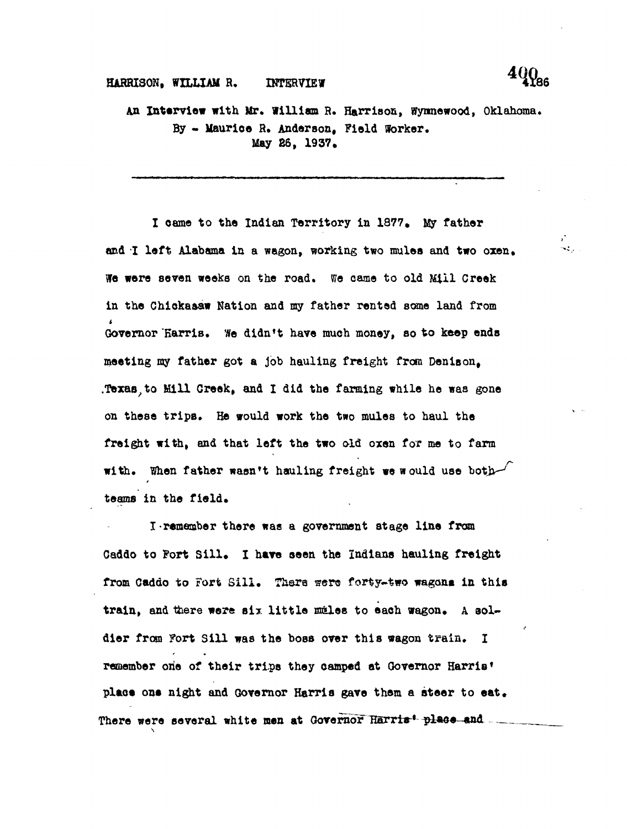## **HARRISON, WILLIAM R. INTERVIEW 4186**

**An Interview with Mr\* William R. Harrison, Wynnewood, Oklahoma\* By - Uaurioe H. Anderson, Field Worker. May 26, 1937.**

**I oame to the Indian Territory in 1877. My father** and I left Alabama in a wagon, working two mules and two oxen. **We were seven weeks on the road. We came to old Mill Creek in the Chiokaaaw Nation and my father rented some land from < Governor KarriB. We didn<sup>f</sup>t have much money, so to keep ends meeting my father got a job hauling freight from Denison, .Texas,to Mill Greek, and I did the farming while he was gone on these trips. He would work the two mules to haul the freight with, and that left the two old oxen for me to farm with. When father wasn't hauling freight we would use botb^** teams in the field.

**I-remember there was a government stage line from** Gaddo to Fort Sill. I have seen the Indians hauling freight from Caddo to Fort Sill. There were forty-two wagons in this train, and there were six little males to each wagon. A sol**dier from Fort Sill was the boss over this wagon train. I remember one of their trips they camped at Governor Harris\*** place one night and Governor Harris gave them a steer to eat. There were several white men at Governor Harris<sup>4</sup> place and ...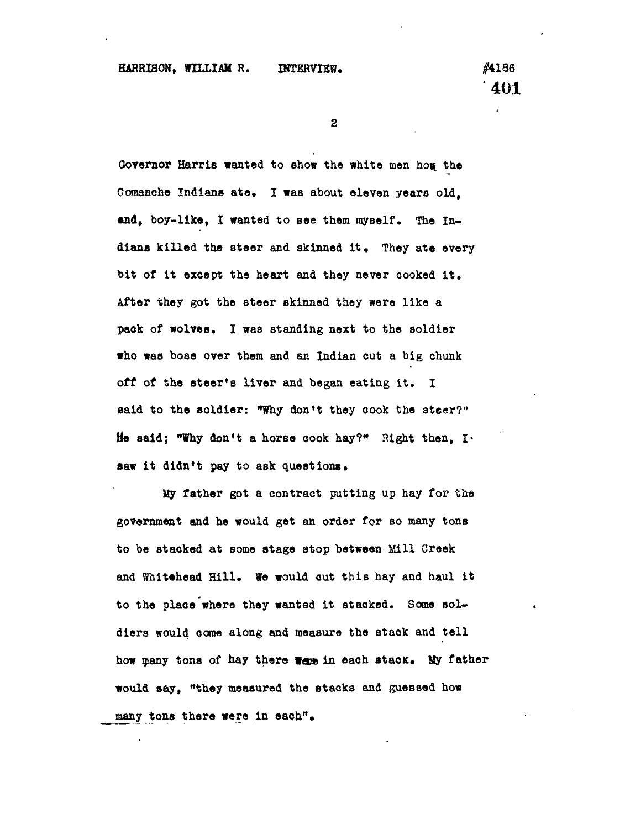$\mathbf{2}$ 

Governor Harris wanted to show the white men how the Comanche Indians ate. I was about eleven years old, and, boy-like, I wanted to see them myself. The In**dians killed the steer and skinned it. They ate every bit of it except the heart and they never cooked it. After they got the steer skinned they were like a pack of wolves. I was standing next to the soldier who was boss over them and an Indian cut a big chunk off of the steer's liver and began eating it. I said to the soldier: "Why don<sup>f</sup>t they cook the steer?"** He said; "Why don't a horse cook hay?" Right then, I. saw it didn't pay to ask questions.

**My father got a contract putting up hay for the government and he would get an order for so many tonB to be stacked at some stage stop between Mill Creek and Whitthead Hill. We would out this hay and haul it** to the place where they wanted it stacked. Some sol**diers would oome along and measure the stack and tell** how many tons of hay there were in each stack. My father **would say, "they measured the stacks and guessed how many tons there were in each".**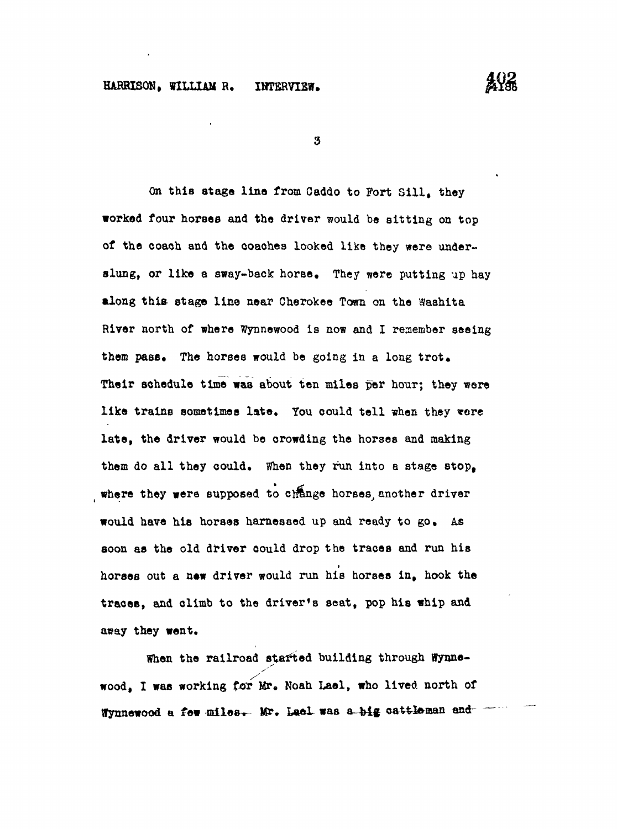## **HARRISON, WILLIAM R, IHTERVIKW.**

**AYA** 

 $\boldsymbol{3}$ 

**On this stage line from Caddo to Fort Sill, they worked four horses and the driver would be sitting on top of the coach and the coaohes looked like they were underslung, or like a sway-back horse. They were putting up hay along this stage line near Cherokee Town on the Washita River north of where Wynnewood is now and I remember seeing** them pass. The horses would be going in a long trot. **Their schedule time was about ten miles per hour; they were like trains sometimes late. You could tell when they \*ere late, the driver would be orowding the horses and making them do all they could. When they run into a stage stop, where they were supposed to clrange horses, another driver would have his horses harnessed up and ready to go. As soon as the old driver oould drop the traces and run his** t **horses out a new driver would run his horses in, hook the traces, and climb to the driver's seat, pop his whip and** aray they went. **asay they went.**

When the railroad started building through Wynne**wood, I was working tor Mr, Noah Lael, who lived north of** Wynnewood a few miles. Mr. Lael was a big cattleman and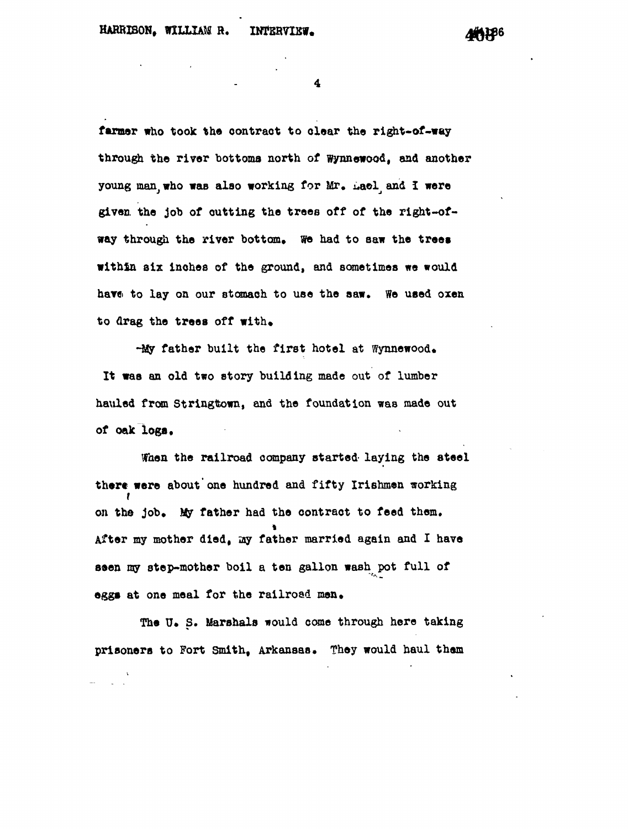4

**farmer who took the oontraot to oloar the right-of-way through the river bottoms north of Wynnewood, and another young man, who was also working for Mr. i.aol^ and I were given, the job of outting the trees off of the right-of**way through the river bottom. We had to saw the trees **within six inches of the ground, and sometimes we would have to lay on our stomach to use the aaw. We used oxen** to drag the trees off with.

-My father built the first hotel at Wynnewood. **It was an old two story building made out of lumber hauled from Stringttown, and the foundation was made out of oak logs.**

**When the railroad company started- laying the steel there were about'one hundred and fifty Irishmen working** f on the job. My father had the contract to feed them. **After my mother died, ay father married again and I have seen my step-mother boil a ten gallon wash pot full of eggs at one meal for the railroad men.** 

The U. S. Marshals would come through here taking prisoners to Fort Smith, Arkansas. They would haul them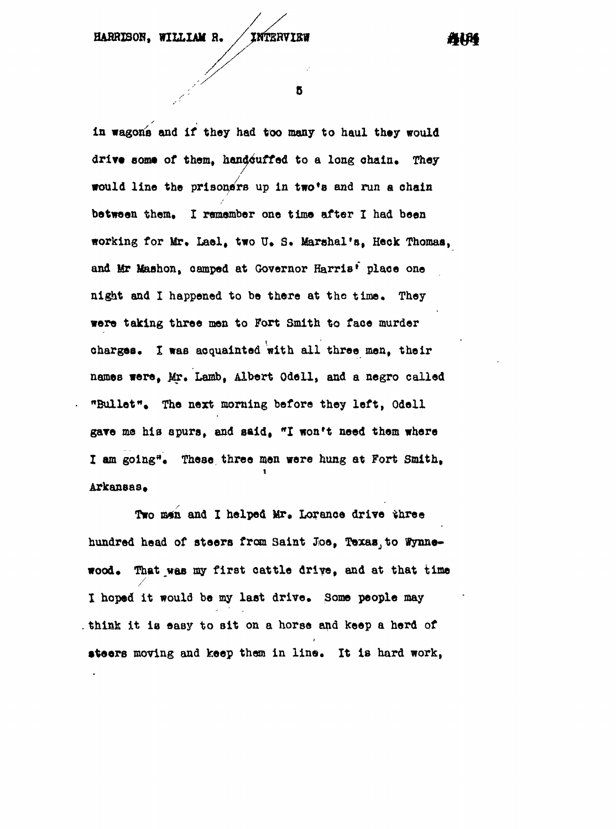5

**In wagons and if they had too many to haul they would** drive some of them, handcuffed to a long chain. They **would line the prisoners up in two\*8 and run a chain between them. I remember one time after I had been working for Mr, Lael, two U\* S\* Marshal's, Heck Thomas, and Mr Maahon, oamped at Governor Harris\* place one** night and I happened to be there at the time. They **were taking three men to Fort Smith to face murder charges. I was acquainted with all three men, their** names were, Mr. Lamb, Albert Odell, and a negro called **"Bullet". The next morning before they left, Odell gare ma his spurs, and said, "I won't need them where I am going<sup>3</sup>. These, three men were hung at Fort Smith, Arkansas\***

Two man and I helped Mr. Lorance drive three hundred head of steers from Saint Joe, Texas, to Wynnewood. That was my first cattle drive, and at that time I hoped it would be my last drive. Some people may **I hoped it would be my last drive. Some people may think it is easy to sit on a horse and keep a herd of**

**steers moving and keep them in line. It is hard work,**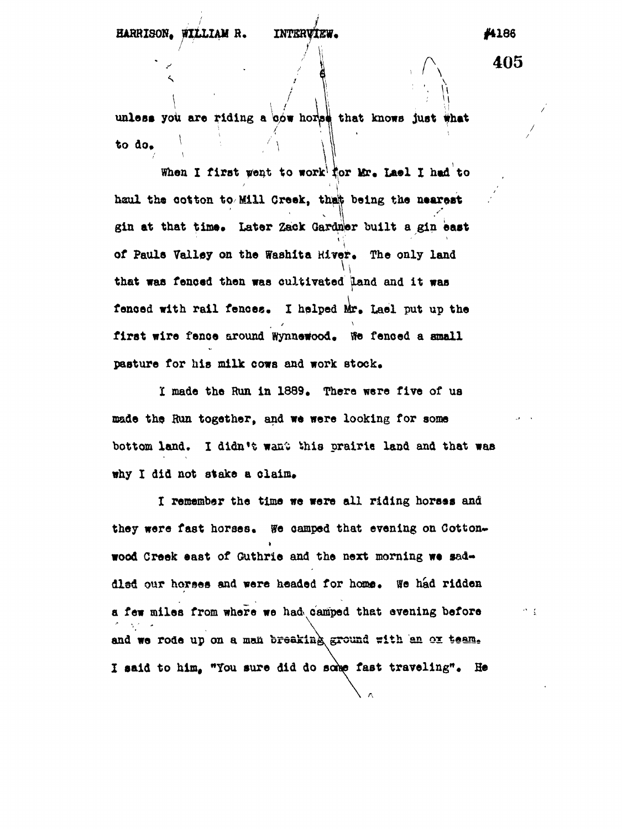**/^ 405**

 $\mathcal{O} = \frac{1}{\lambda}$ 

unless you are riding a cow horse that knows just what **to do\***

**When I first wont to work'tor Ur« Lael X had to** haul the cotton to Mill Creek, that being the nearest gin at that time. Later Zack Gardner built a gin east of Pauls Valley on the Washita Hiver. The only land **of Pauls Valley on the BTashlta Hiver. The only land** fenced with rail fences. I helped Mr. Lael put up the first wire fence around Wynnewood. We fenced a small pasture for his milk cows and work stock.

I made the Run in 1889. There were five of us made the Run together, and we were looking for some bottom land. I didn't want this prairie land and that was

**I remember the time we were all riding horses and they were fast horses\* Wo camped that evening on Cotton\*** dled our horses and were headed for home. We had ridden a few miles from where we had camped that evening before **a few miles from where we had camped that evening before** and we rode up on a man breaking ground with an ox team. **and we rode up on a man fejrdakink ground pith an ox t«am<sup>s</sup> I said to him. "You sure did do so w fast traveling"• He**